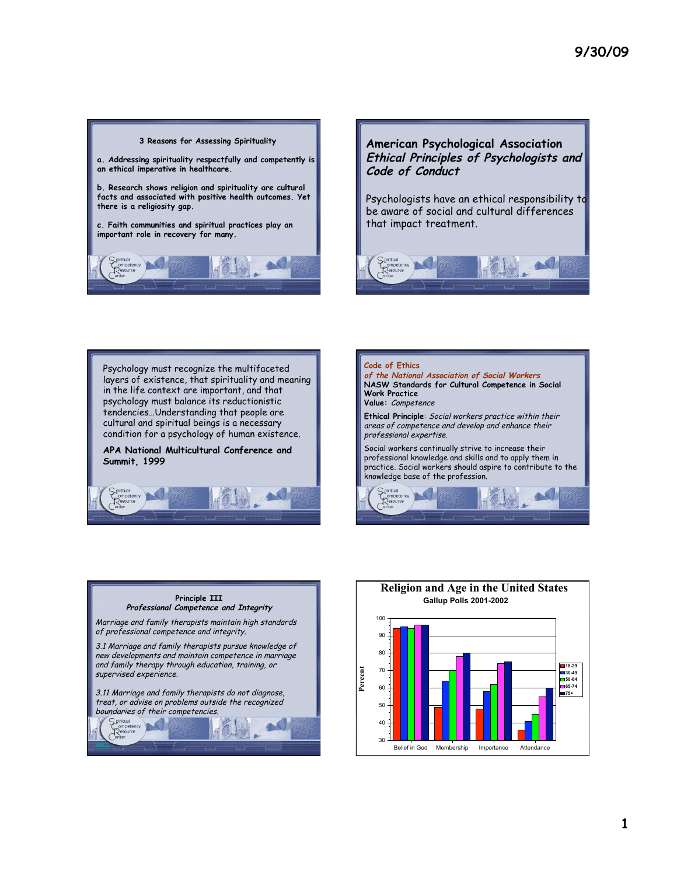



Psychologists have an ethical responsibility to be aware of social and cultural differences that impact treatment.



Psychology must recognize the multifaceted layers of existence, that spirituality and meaning in the life context are important, and that psychology must balance its reductionistic tendencies…Understanding that people are cultural and spiritual beings is a necessary condition for a psychology of human existence.

**APA National Multicultural Conference and Summit, 1999**







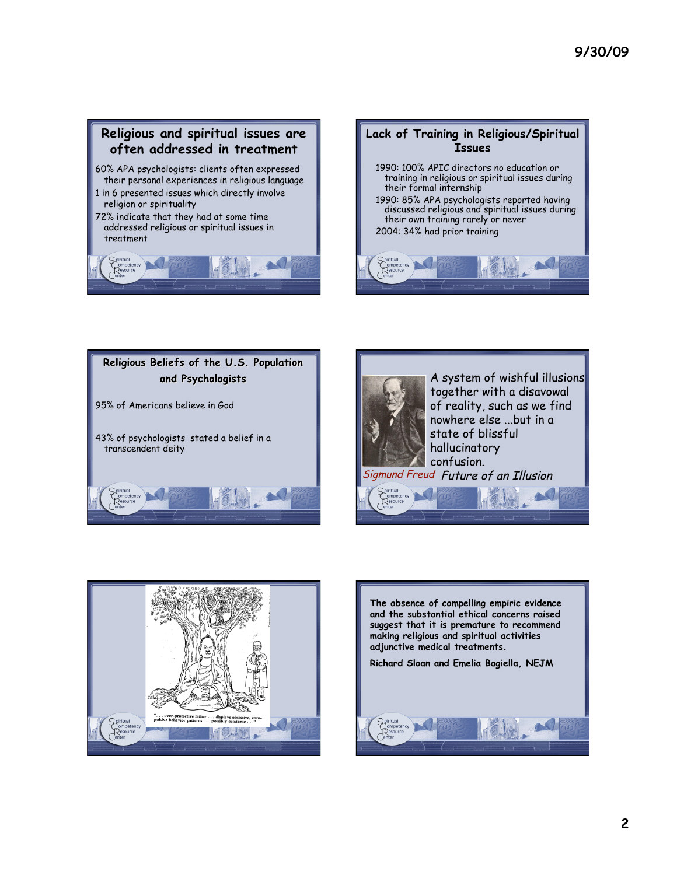## **Religious and spiritual issues are often addressed in treatment**

- 60% APA psychologists: clients often expressed their personal experiences in religious language
- 1 in 6 presented issues which directly involve religion or spirituality
- 72% indicate that they had at some time addressed religious or spiritual issues in treatment











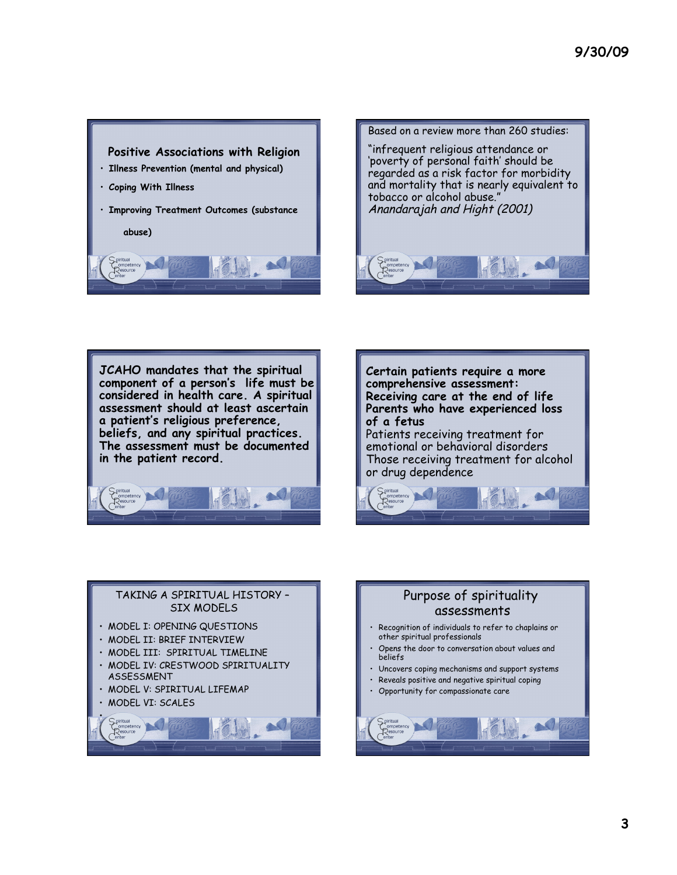



**JCAHO mandates that the spiritual component of a person's life must be considered in health care. A spiritual assessment should at least ascertain a patient's religious preference, beliefs, and any spiritual practices. The assessment must be documented in the patient record.** 





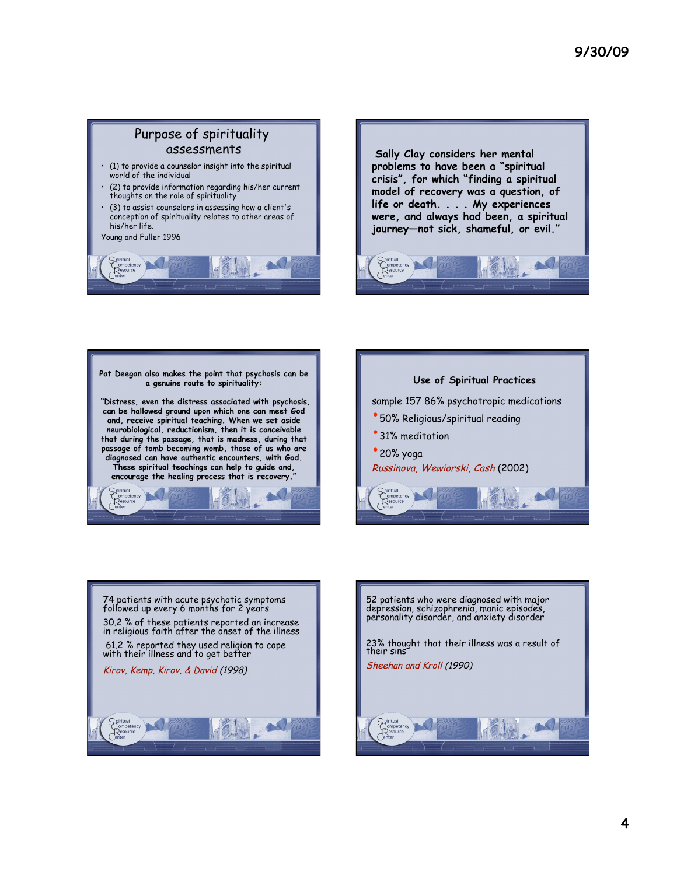## Purpose of spirituality assessments

- (1) to provide a counselor insight into the spiritual world of the individual
- (2) to provide information regarding his/her current thoughts on the role of spirituality
- (3) to assist counselors in assessing how a client's conception of spirituality relates to other areas of his/her life.

Young and Fuller 1996



 **Sally Clay considers her mental problems to have been a "spiritual crisis", for which "finding a spiritual model of recovery was a question, of life or death. . . . My experiences were, and always had been, a spiritual journey—not sick, shameful, or evil."**